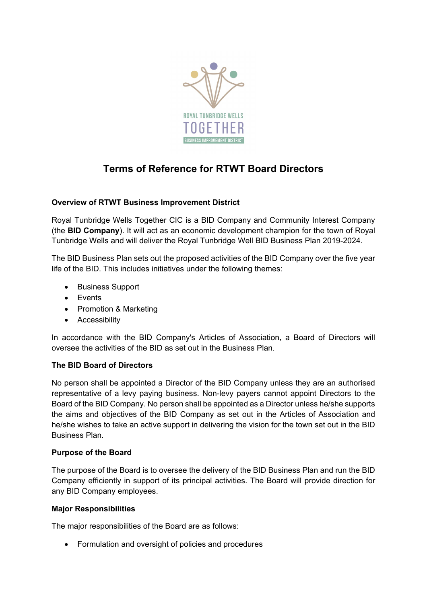

# **Terms of Reference for RTWT Board Directors**

# **Overview of RTWT Business Improvement District**

Royal Tunbridge Wells Together CIC is a BID Company and Community Interest Company (the **BID Company**). It will act as an economic development champion for the town of Royal Tunbridge Wells and will deliver the Royal Tunbridge Well BID Business Plan 2019-2024.

The BID Business Plan sets out the proposed activities of the BID Company over the five year life of the BID. This includes initiatives under the following themes:

- Business Support
- Events
- Promotion & Marketing
- Accessibility

In accordance with the BID Company's Articles of Association, a Board of Directors will oversee the activities of the BID as set out in the Business Plan.

# **The BID Board of Directors**

No person shall be appointed a Director of the BID Company unless they are an authorised representative of a levy paying business. Non-levy payers cannot appoint Directors to the Board of the BID Company. No person shall be appointed as a Director unless he/she supports the aims and objectives of the BID Company as set out in the Articles of Association and he/she wishes to take an active support in delivering the vision for the town set out in the BID Business Plan.

# **Purpose of the Board**

The purpose of the Board is to oversee the delivery of the BID Business Plan and run the BID Company efficiently in support of its principal activities. The Board will provide direction for any BID Company employees.

#### **Major Responsibilities**

The major responsibilities of the Board are as follows:

• Formulation and oversight of policies and procedures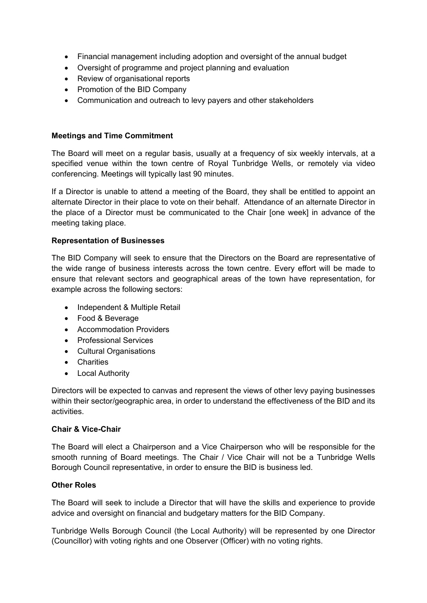- Financial management including adoption and oversight of the annual budget
- Oversight of programme and project planning and evaluation
- Review of organisational reports
- Promotion of the BID Company
- Communication and outreach to levy payers and other stakeholders

## **Meetings and Time Commitment**

The Board will meet on a regular basis, usually at a frequency of six weekly intervals, at a specified venue within the town centre of Royal Tunbridge Wells, or remotely via video conferencing. Meetings will typically last 90 minutes.

If a Director is unable to attend a meeting of the Board, they shall be entitled to appoint an alternate Director in their place to vote on their behalf. Attendance of an alternate Director in the place of a Director must be communicated to the Chair [one week] in advance of the meeting taking place.

## **Representation of Businesses**

The BID Company will seek to ensure that the Directors on the Board are representative of the wide range of business interests across the town centre. Every effort will be made to ensure that relevant sectors and geographical areas of the town have representation, for example across the following sectors:

- Independent & Multiple Retail
- Food & Beverage
- Accommodation Providers
- Professional Services
- Cultural Organisations
- Charities
- Local Authority

Directors will be expected to canvas and represent the views of other levy paying businesses within their sector/geographic area, in order to understand the effectiveness of the BID and its activities.

#### **Chair & Vice-Chair**

The Board will elect a Chairperson and a Vice Chairperson who will be responsible for the smooth running of Board meetings. The Chair / Vice Chair will not be a Tunbridge Wells Borough Council representative, in order to ensure the BID is business led.

# **Other Roles**

The Board will seek to include a Director that will have the skills and experience to provide advice and oversight on financial and budgetary matters for the BID Company.

Tunbridge Wells Borough Council (the Local Authority) will be represented by one Director (Councillor) with voting rights and one Observer (Officer) with no voting rights.